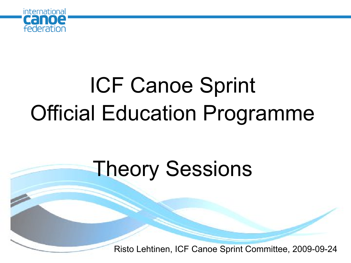

# ICF Canoe Sprint Official Education Programme

### Theory Sessions

Risto Lehtinen, ICF Canoe Sprint Committee, 2009-09-24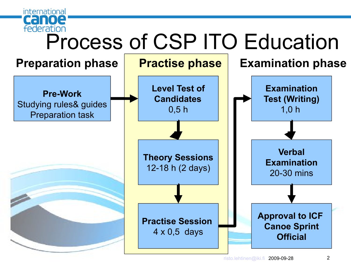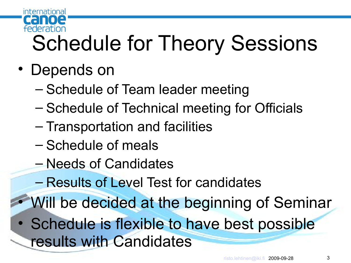

# Schedule for Theory Sessions

- Depends on
	- Schedule of Team leader meeting
	- Schedule of Technical meeting for Officials
	- Transportation and facilities
	- Schedule of meals
	- Needs of Candidates
	- Results of Level Test for candidates
	- Will be decided at the beginning of Seminar
- Schedule is flexible to have best possible results with Candidates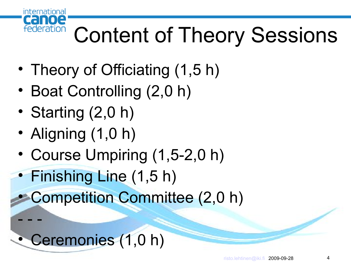

- - -

# Content of Theory Sessions

- Theory of Officiating (1,5 h)
- Boat Controlling (2,0 h)
- Starting (2,0 h)
- Aligning (1,0 h)
- Course Umpiring (1,5-2,0 h)

• Finishing Line (1,5 h)

• Competition Committee (2,0 h)

• Ceremonies (1,0 h)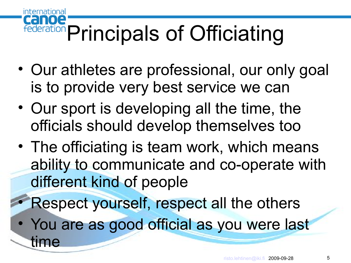#### CHI loe Federation Principals of Officiating

- Our athletes are professional, our only goal is to provide very best service we can
- Our sport is developing all the time, the officials should develop themselves too
- The officiating is team work, which means ability to communicate and co-operate with different kind of people

• Respect yourself, respect all the others

• You are as good official as you were last

time

international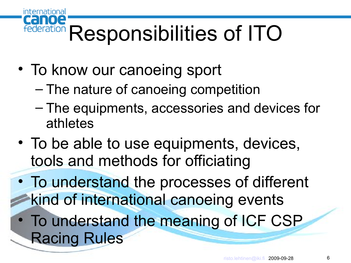#### $\blacksquare$ Responsibilities of ITO

• To know our canoeing sport

international

CHI

- The nature of canoeing competition
- The equipments, accessories and devices for athletes
- To be able to use equipments, devices, tools and methods for officiating
- To understand the processes of different kind of international canoeing events
- To understand the meaning of ICF CSP Racing Rules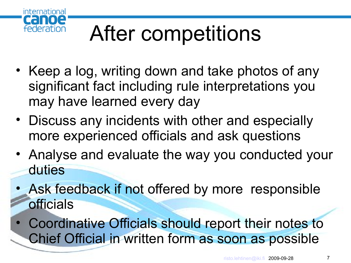

# After competitions

- Keep a log, writing down and take photos of any significant fact including rule interpretations you may have learned every day
- Discuss any incidents with other and especially more experienced officials and ask questions
- Analyse and evaluate the way you conducted your duties
- Ask feedback if not offered by more responsible officials
- Coordinative Officials should report their notes to Chief Official in written form as soon as possible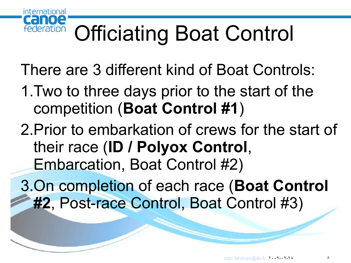

# Officiating Boat Control

There are 3 different kind of Boat Controls:

- 1.Two to three days prior to the start of the competition (**Boat Control #1**)
- 2.Prior to embarkation of crews for the start of their race (**ID / Polyox Control**, Embarcation, Boat Control #2)
- 3.On completion of each race (**Boat Control #2**, Post-race Control, Boat Control #3)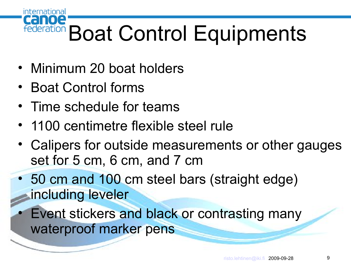# Federation Boat Control Equipments

- Minimum 20 boat holders
- Boat Control forms

international

- Time schedule for teams
- 1100 centimetre flexible steel rule
- Calipers for outside measurements or other gauges set for 5 cm, 6 cm, and 7 cm
- 50 cm and 100 cm steel bars (straight edge) including leveler
	- Event stickers and black or contrasting many waterproof marker pens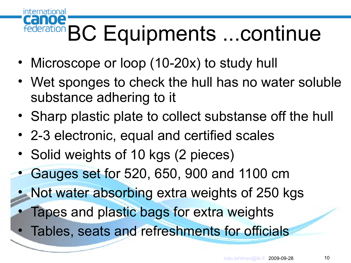#### international **10e** federation BC Equipments ... continue

- Microscope or loop (10-20x) to study hull
- Wet sponges to check the hull has no water soluble substance adhering to it
- Sharp plastic plate to collect substanse off the hull
- 2-3 electronic, equal and certified scales
- Solid weights of 10 kgs (2 pieces)
- Gauges set for 520, 650, 900 and 1100 cm
- Not water absorbing extra weights of 250 kgs
	- Tapes and plastic bags for extra weights
	- Tables, seats and refreshments for officials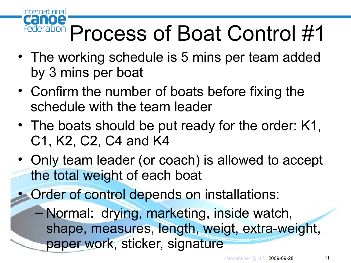

# Process of Boat Control #1

- The working schedule is 5 mins per team added by 3 mins per boat
- Confirm the number of boats before fixing the schedule with the team leader
- The boats should be put ready for the order: K1, C1, K2, C2, C4 and K4
- Only team leader (or coach) is allowed to accept the total weight of each boat
- Order of control depends on installations:
	- Normal: drying, marketing, inside watch, shape, measures, length, weigt, extra-weight, paper work, sticker, signature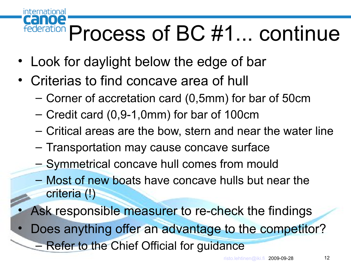# Federation Process of BC #1... continue

- Look for daylight below the edge of bar
- Criterias to find concave area of hull

international

- Corner of accretation card (0,5mm) for bar of 50cm
- Credit card (0,9-1,0mm) for bar of 100cm
- Critical areas are the bow, stern and near the water line
- Transportation may cause concave surface
- Symmetrical concave hull comes from mould
- Most of new boats have concave hulls but near the criteria (!)
- Ask responsible measurer to re-check the findings
- Does anything offer an advantage to the competitor?
	- Refer to the Chief Official for guidance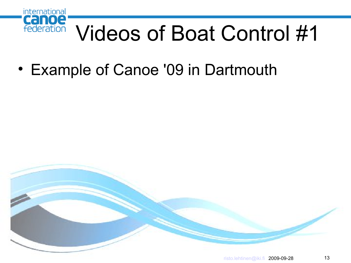

## Videos of Boat Control #1

• Example of Canoe '09 in Dartmouth

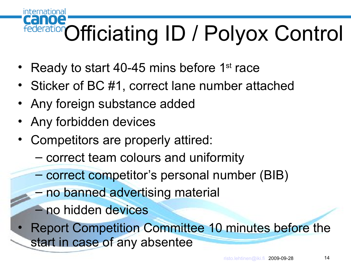#### international  $\blacksquare$ Officiating ID / Polyox Control

- Ready to start 40-45 mins before 1<sup>st</sup> race
- Sticker of BC #1, correct lane number attached
- Any foreign substance added
- Any forbidden devices
- Competitors are properly attired:
	- correct team colours and uniformity
	- correct competitor's personal number (BIB)
	- no banned advertising material
	- no hidden devices
- Report Competition Committee 10 minutes before the start in case of any absentee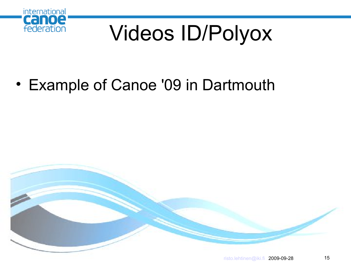

# Videos ID/Polyox

• Example of Canoe '09 in Dartmouth

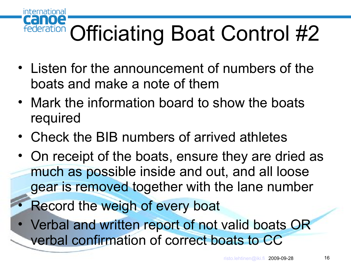### **1012** Officiating Boat Control #2

- Listen for the announcement of numbers of the boats and make a note of them
- Mark the information board to show the boats required
- Check the BIB numbers of arrived athletes
- On receipt of the boats, ensure they are dried as much as possible inside and out, and all loose gear is removed together with the lane number
- Record the weigh of every boat

international

• Verbal and written report of not valid boats OR verbal confirmation of correct boats to CC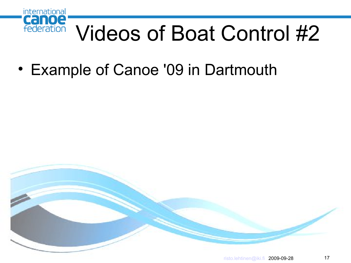

## Videos of Boat Control #2

• Example of Canoe '09 in Dartmouth

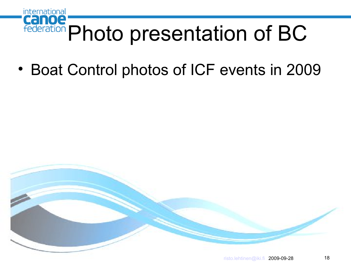

• Boat Control photos of ICF events in 2009

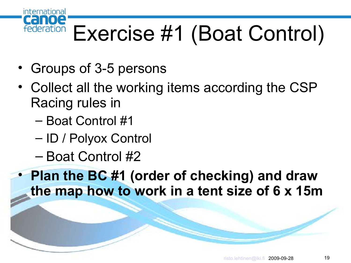

• Groups of 3-5 persons

international

- Collect all the working items according the CSP Racing rules in
	- Boat Control #1
	- ID / Polyox Control
	- Boat Control #2

• **Plan the BC #1 (order of checking) and draw the map how to work in a tent size of 6 x 15m**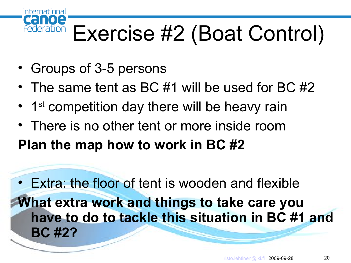# Exercise #2 (Boat Control)

• Groups of 3-5 persons

international

federation

- The same tent as BC #1 will be used for BC #2
- 1<sup>st</sup> competition day there will be heavy rain
- There is no other tent or more inside room **Plan the map how to work in BC #2**

• Extra: the floor of tent is wooden and flexible **What extra work and things to take care you have to do to tackle this situation in BC #1 and BC #2?**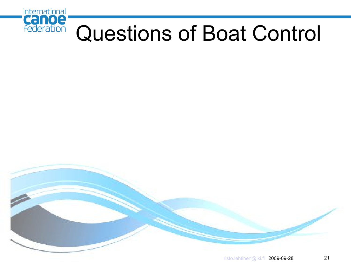

### Questions of Boat Control

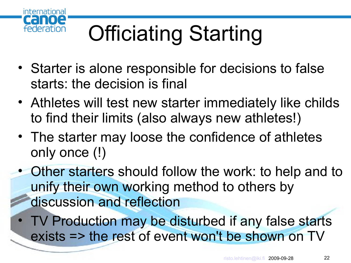

# Officiating Starting

- Starter is alone responsible for decisions to false starts: the decision is final
- Athletes will test new starter immediately like childs to find their limits (also always new athletes!)
- The starter may loose the confidence of athletes only once (!)
- Other starters should follow the work: to help and to unify their own working method to others by discussion and reflection
- TV Production may be disturbed if any false starts exists => the rest of event won't be shown on TV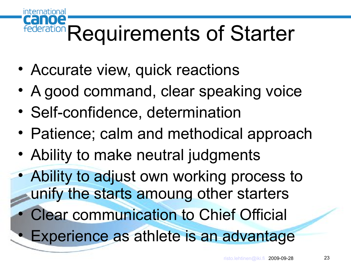# Federation Requirements of Starter

• Accurate view, quick reactions

international

- A good command, clear speaking voice
- Self-confidence, determination
- Patience; calm and methodical approach
- Ability to make neutral judgments

• Ability to adjust own working process to unify the starts amoung other starters

- Clear communication to Chief Official
- Experience as athlete is an advantage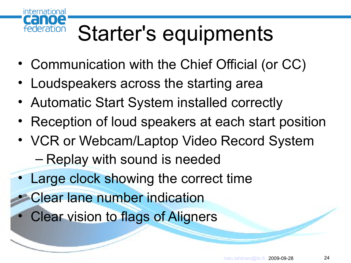

# Starter's equipments

- Communication with the Chief Official (or CC)
- Loudspeakers across the starting area
- Automatic Start System installed correctly
- Reception of loud speakers at each start position
- VCR or Webcam/Laptop Video Record System – Replay with sound is needed
- Large clock showing the correct time
	- Clear lane number indication
	- **Clear vision to flags of Aligners**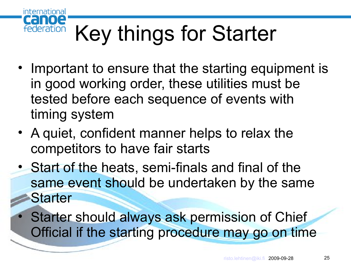

# Key things for Starter

- Important to ensure that the starting equipment is in good working order, these utilities must be tested before each sequence of events with timing system
- A quiet, confident manner helps to relax the competitors to have fair starts
- Start of the heats, semi-finals and final of the same event should be undertaken by the same **Starter** 
	- **Starter should always ask permission of Chief** Official if the starting procedure may go on time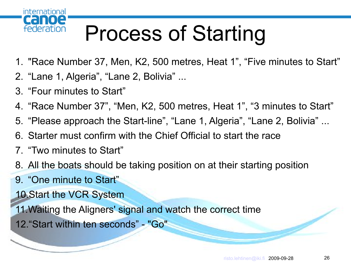

## Process of Starting

- 1. "Race Number 37, Men, K2, 500 metres, Heat 1", "Five minutes to Start"
- 2. "Lane 1, Algeria", "Lane 2, Bolivia" ...
- 3. "Four minutes to Start"
- 4. "Race Number 37", "Men, K2, 500 metres, Heat 1", "3 minutes to Start"
- 5. "Please approach the Start-line", "Lane 1, Algeria", "Lane 2, Bolivia" ...
- 6. Starter must confirm with the Chief Official to start the race
- 7. "Two minutes to Start"
- 8. All the boats should be taking position on at their starting position
- 9. "One minute to Start"
- 10.Start the VCR System
- 11.Waiting the Aligners' signal and watch the correct time
- 12."Start within ten seconds" "Go"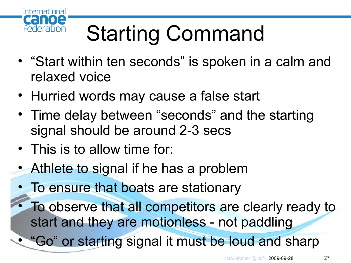

# Starting Command

- "Start within ten seconds" is spoken in a calm and relaxed voice
- Hurried words may cause a false start
- Time delay between "seconds" and the starting signal should be around 2-3 secs
- This is to allow time for:
- Athlete to signal if he has a problem
- To ensure that boats are stationary
- To observe that all competitors are clearly ready to start and they are motionless - not paddling
- "Go" or starting signal it must be loud and sharp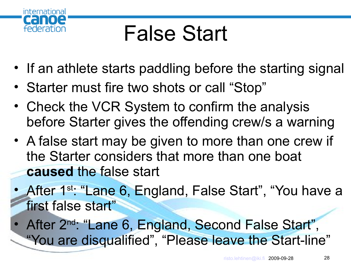

### False Start

- If an athlete starts paddling before the starting signal
- Starter must fire two shots or call "Stop"
- Check the VCR System to confirm the analysis before Starter gives the offending crew/s a warning
- A false start may be given to more than one crew if the Starter considers that more than one boat **caused** the false start
- After 1<sup>st:</sup> "Lane 6, England, False Start", "You have a first false start"
- After 2<sup>nd</sup>: "Lane 6, England, Second False Start", "You are disqualified", "Please leave the Start-line"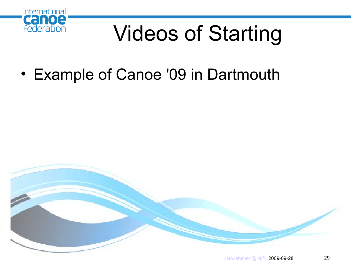

## Videos of Starting

• Example of Canoe '09 in Dartmouth

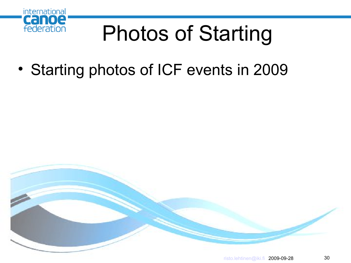

# Photos of Starting

• Starting photos of ICF events in 2009

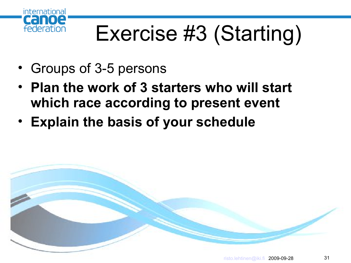

## Exercise #3 (Starting)

- Groups of 3-5 persons
- **Plan the work of 3 starters who will start which race according to present event**
- **Explain the basis of your schedule**

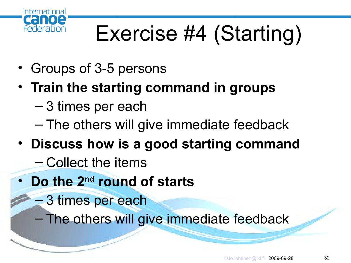

# Exercise #4 (Starting)

- Groups of 3-5 persons
- **Train the starting command in groups**
	- 3 times per each
	- The others will give immediate feedback
- **Discuss how is a good starting command**
	- Collect the items
- **Do the 2nd round of starts**
	- 3 times per each
	- The others will give immediate feedback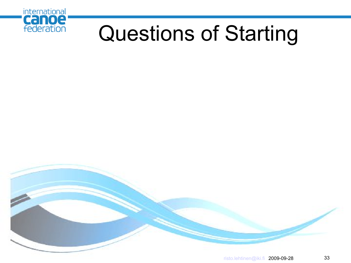

### Questions of Starting

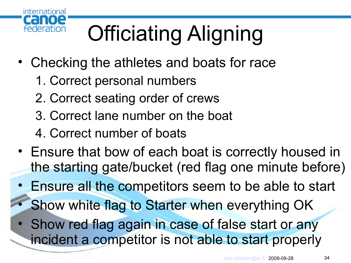

# Officiating Aligning

- Checking the athletes and boats for race
	- 1. Correct personal numbers
	- 2. Correct seating order of crews
	- 3. Correct lane number on the boat
	- 4. Correct number of boats
- Ensure that bow of each boat is correctly housed in the starting gate/bucket (red flag one minute before)
- Ensure all the competitors seem to be able to start
- Show white flag to Starter when everything OK
- Show red flag again in case of false start or any incident a competitor is not able to start properly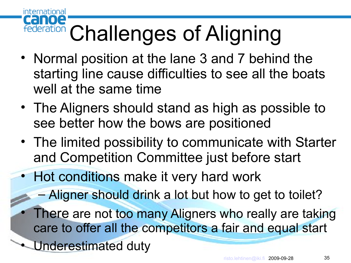### Canoe Federation Challenges of Aligning

- Normal position at the lane 3 and 7 behind the starting line cause difficulties to see all the boats well at the same time
- The Aligners should stand as high as possible to see better how the bows are positioned
- The limited possibility to communicate with Starter and Competition Committee just before start
- Hot conditions make it very hard work
	- Aligner should drink a lot but how to get to toilet?
	- There are not too many Aligners who really are taking care to offer all the competitors a fair and equal start
- Underestimated duty

international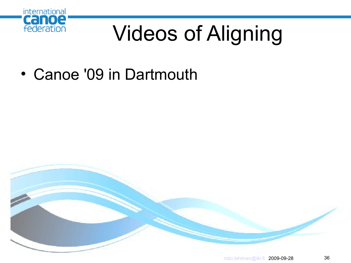

# Videos of Aligning

• Canoe '09 in Dartmouth

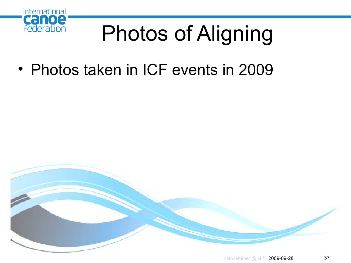

### Photos of Aligning

• Photos taken in ICF events in 2009

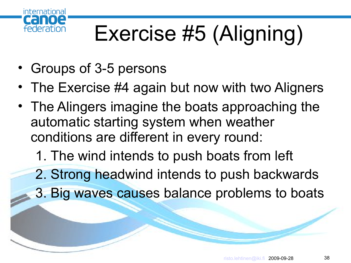

### Exercise #5 (Aligning)

- Groups of 3-5 persons
- The Exercise #4 again but now with two Aligners
- The Alingers imagine the boats approaching the automatic starting system when weather conditions are different in every round:
	- 1. The wind intends to push boats from left
	- 2. Strong headwind intends to push backwards
	- 3. Big waves causes balance problems to boats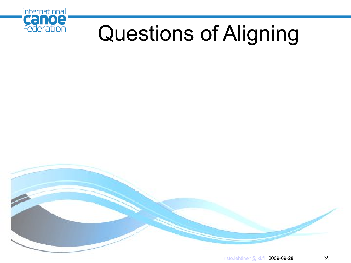

### Questions of Aligning

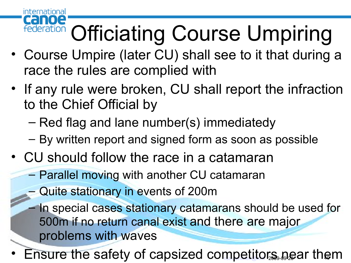#### loe **Federation Officiating Course Umpiring**

- Course Umpire (later CU) shall see to it that during a race the rules are complied with
- If any rule were broken, CU shall report the infraction to the Chief Official by
	- Red flag and lane number(s) immediatedy
	- By written report and signed form as soon as possible
- CU should follow the race in a catamaran
	- Parallel moving with another CU catamaran
	- Quite stationary in events of 200m

- In special cases stationary catamarans should be used for 500m if no return canal exist and there are major problems with waves
- Ensure the safety of capsized co[mpetito](mailto:risto.lehtinen@iki.fi)rs near them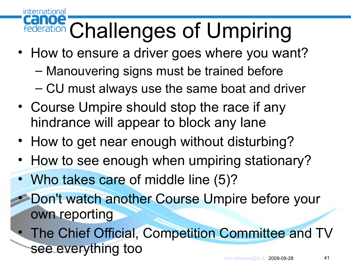## Cance Challenges of Umpiring

- How to ensure a driver goes where you want?
	- Manouvering signs must be trained before
	- CU must always use the same boat and driver
- Course Umpire should stop the race if any hindrance will appear to block any lane
- How to get near enough without disturbing?
- How to see enough when umpiring stationary?
- Who takes care of middle line (5)?

- Don't watch another Course Umpire before your own reporting
- The Chief Official, Competition Committee and TV see everything too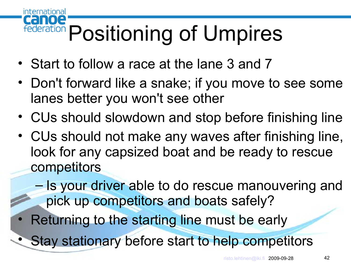#### canoe federation Positioning of Umpires

• Start to follow a race at the lane 3 and 7

- Don't forward like a snake; if you move to see some lanes better you won't see other
- CUs should slowdown and stop before finishing line
- CUs should not make any waves after finishing line, look for any capsized boat and be ready to rescue competitors
	- Is your driver able to do rescue manouvering and pick up competitors and boats safely?
	- Returning to the starting line must be early
- Stay stationary before start to help competitors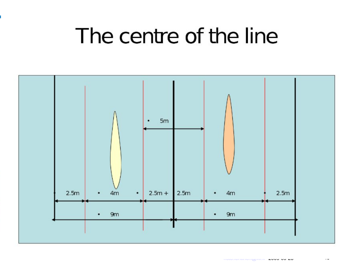#### The centre of the line

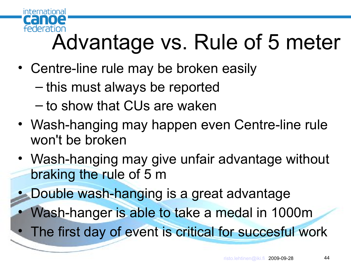

### Advantage vs. Rule of 5 meter

- Centre-line rule may be broken easily
	- this must always be reported
	- to show that CUs are waken
- Wash-hanging may happen even Centre-line rule won't be broken
- Wash-hanging may give unfair advantage without braking the rule of 5 m
- Double wash-hanging is a great advantage
	- Wash-hanger is able to take a medal in 1000m
- The first day of event is critical for succesful work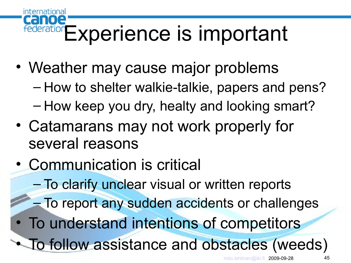#### $\bullet$ Experience is important

- Weather may cause major problems
	- How to shelter walkie-talkie, papers and pens?
	- How keep you dry, healty and looking smart?
- Catamarans may not work properly for several reasons
- Communication is critical

- To clarify unclear visual or written reports
- To report any sudden accidents or challenges
- To understand intentions of competitors
- To follow assistance and obstacles (weeds)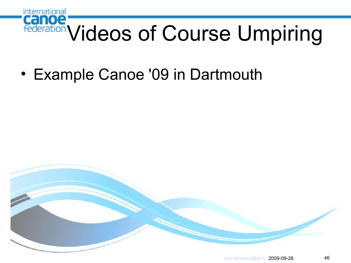

• Example Canoe '09 in Dartmouth

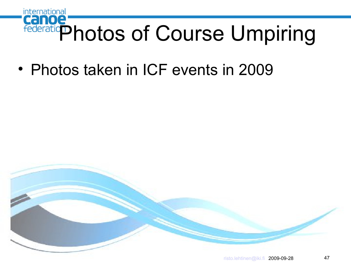

• Photos taken in ICF events in 2009

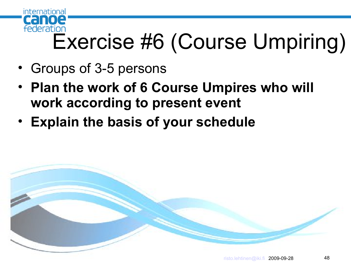

### Exercise #6 (Course Umpiring)

- Groups of 3-5 persons
- **Plan the work of 6 Course Umpires who will work according to present event**
- **Explain the basis of your schedule**

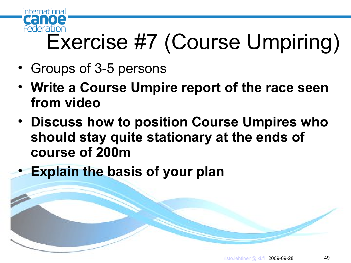

### Exercise #7 (Course Umpiring)

- Groups of 3-5 persons
- **Write a Course Umpire report of the race seen from video**
- **Discuss how to position Course Umpires who should stay quite stationary at the ends of course of 200m**
- **Explain the basis of your plan**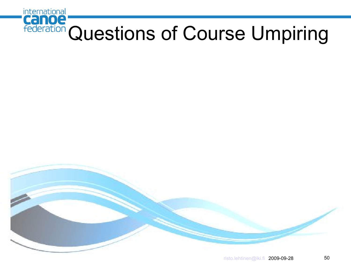

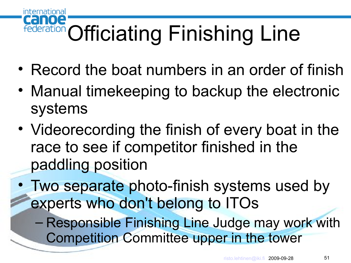#### canoe **Federation Officiating Finishing Line**

- Record the boat numbers in an order of finish
- Manual timekeeping to backup the electronic systems
- Videorecording the finish of every boat in the race to see if competitor finished in the paddling position
- Two separate photo-finish systems used by experts who don't belong to ITOs
	- Responsible Finishing Line Judge may work with Competition Committee upper in the tower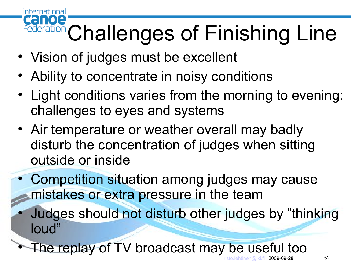#### international canoe Federation Challenges of Finishing Line

- Vision of judges must be excellent
- Ability to concentrate in noisy conditions
- Light conditions varies from the morning to evening: challenges to eyes and systems
- Air temperature or weather overall may badly disturb the concentration of judges when sitting outside or inside
- Competition situation among judges may cause mistakes or extra pressure in the team
	- Judges should not disturb other judges by "thinking loud"

The replay of TV broadcast may be useful too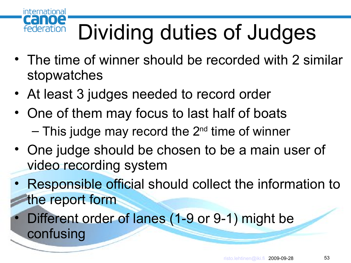### Dividing duties of Judges

- The time of winner should be recorded with 2 similar stopwatches
- At least 3 judges needed to record order

international

federation

 $\blacksquare$ 

CHI

- One of them may focus to last half of boats  $-$  This judge may record the  $2<sup>nd</sup>$  time of winner
- One judge should be chosen to be a main user of video recording system
- Responsible official should collect the information to the report form
- Different order of lanes (1-9 or 9-1) might be confusing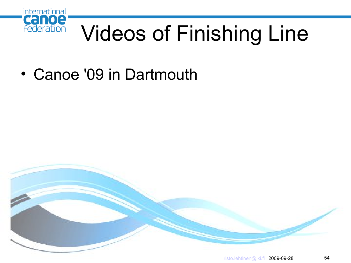

### Videos of Finishing Line

• Canoe '09 in Dartmouth

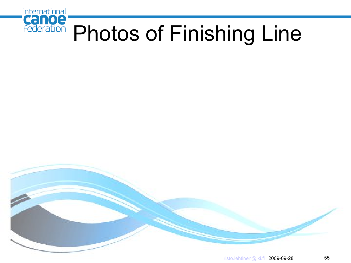

#### Photos of Finishing Line

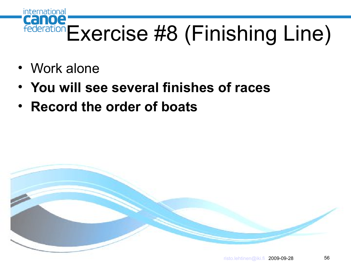# Canoe<br>Federation Exercise #8 (Finishing Line)

• Work alone

- **You will see several finishes of races**
- **Record the order of boats**

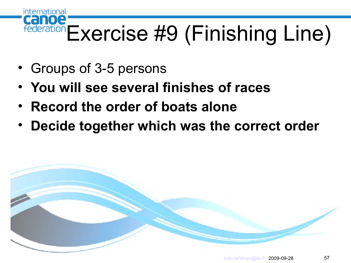#### Canoe Federation Exercise #9 (Finishing Line)

• Groups of 3-5 persons

- **You will see several finishes of races**
- **Record the order of boats alone**
- **Decide together which was the correct order**

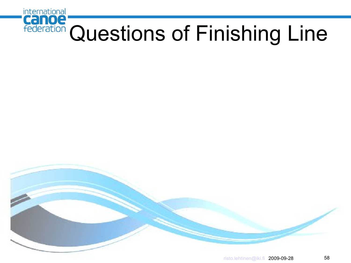

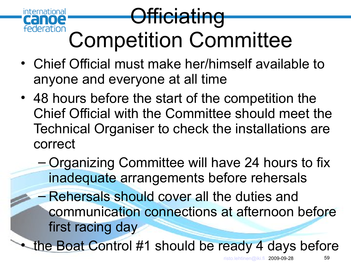

- Chief Official must make her/himself available to anyone and everyone at all time
- 48 hours before the start of the competition the Chief Official with the Committee should meet the Technical Organiser to check the installations are correct
	- Organizing Committee will have 24 hours to fix inadequate arrangements before rehersals
	- Rehersals should cover all the duties and communication connections at afternoon before first racing day

the Boat Control #1 should be ready 4 days before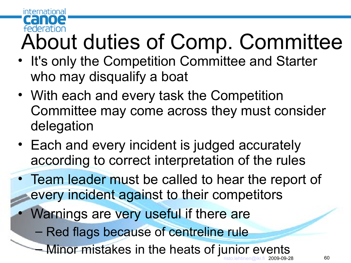#### federation About duties of Comp. Committee

• It's only the Competition Committee and Starter who may disqualify a boat

international

- With each and every task the Competition Committee may come across they must consider delegation
- Each and every incident is judged accurately according to correct interpretation of the rules

• Team leader must be called to hear the report of every incident against to their competitors

- Warnings are very useful if there are
	- Red flags because of centreline rule
	- [risto.lehtinen@iki.fi](mailto:risto.lehtinen@iki.fi) 2009-09-28 60 Minor mistakes in the heats of junior events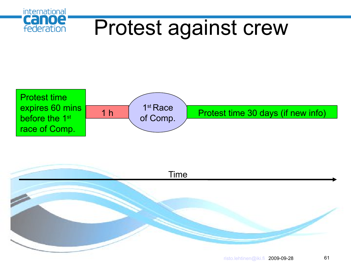



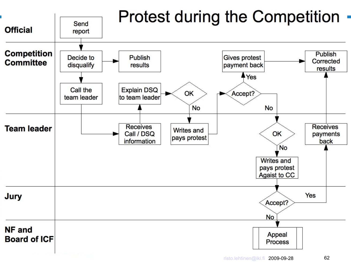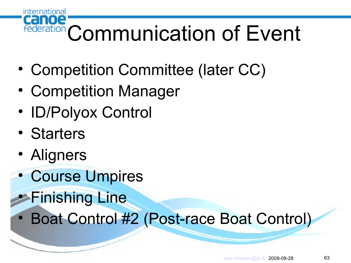

- Competition Committee (later CC)
- Competition Manager
- ID/Polyox Control
- Starters
- Aligners
- Course Umpires
- Finishing Line
- Boat Control #2 (Post-race Boat Control)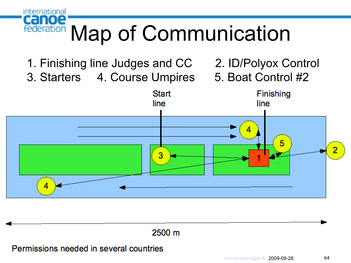

- 1. Finishing line Judges and CC 2. ID/Polyox Control
- 3. Starters 4. Course Umpires 5. Boat Control #2
- 
- 



#### 2500 m

Permissions needed in several countries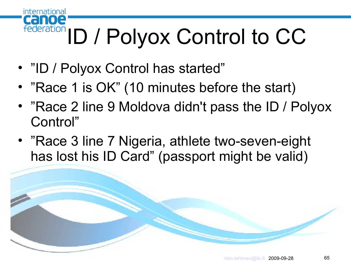#### international canoe Federation ID / Polyox Control to CC

- "ID / Polyox Control has started"
- "Race 1 is OK" (10 minutes before the start)
- "Race 2 line 9 Moldova didn't pass the ID / Polyox Control"
- "Race 3 line 7 Nigeria, athlete two-seven-eight has lost his ID Card" (passport might be valid)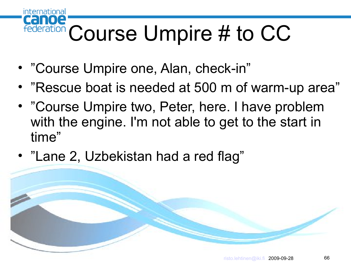#### canoe federation Course Umpire # to CC

• "Course Umpire one, Alan, check-in"

- "Rescue boat is needed at 500 m of warm-up area"
- "Course Umpire two, Peter, here. I have problem with the engine. I'm not able to get to the start in time"
- "Lane 2, Uzbekistan had a red flag"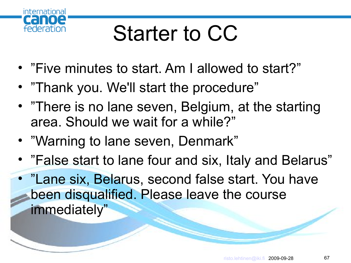

### Starter to CC

- "Five minutes to start. Am I allowed to start?"
- "Thank you. We'll start the procedure"
- "There is no lane seven, Belgium, at the starting area. Should we wait for a while?"
- "Warning to lane seven, Denmark"
- "False start to lane four and six, Italy and Belarus"

• "Lane six, Belarus, second false start. You have been disqualified. Please leave the course immediately"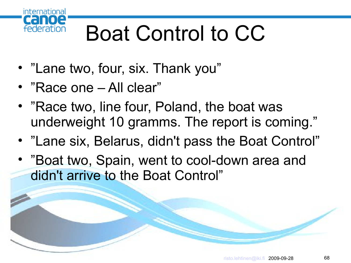

### Boat Control to CC

- "Lane two, four, six. Thank you"
- "Race one All clear"
- "Race two, line four, Poland, the boat was underweight 10 gramms. The report is coming."
- "Lane six, Belarus, didn't pass the Boat Control"
- "Boat two, Spain, went to cool-down area and didn't arrive to the Boat Control"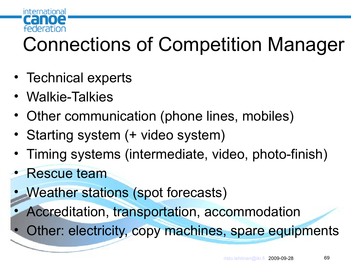

#### Connections of Competition Manager

- Technical experts
- Walkie-Talkies
- Other communication (phone lines, mobiles)
- Starting system (+ video system)
- Timing systems (intermediate, video, photo-finish)
- Rescue team
- Weather stations (spot forecasts)
- Accreditation, transportation, accommodation
- Other: electricity, copy machines, spare equipments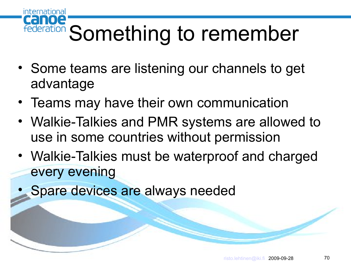#### canoe Federation Something to remember

- Some teams are listening our channels to get advantage
- Teams may have their own communication
- Walkie-Talkies and PMR systems are allowed to use in some countries without permission
- Walkie-Talkies must be waterproof and charged every evening
- Spare devices are always needed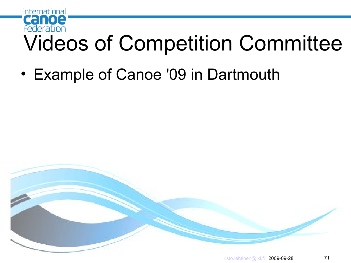

• Example of Canoe '09 in Dartmouth

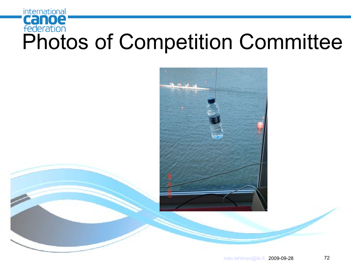### international **Canoe**<br>Federation<br>Photos of Competition Committee

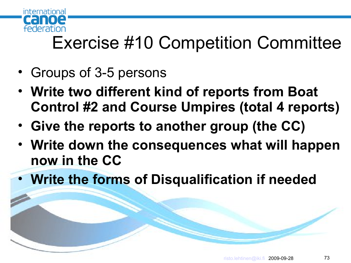

#### Exercise #10 Competition Committee

- Groups of 3-5 persons
- **Write two different kind of reports from Boat Control #2 and Course Umpires (total 4 reports)**
- **Give the reports to another group (the CC)**
- **Write down the consequences what will happen now in the CC**
- **Write the forms of Disqualification if needed**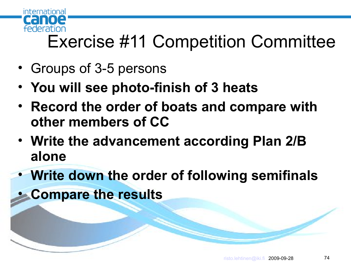

### Exercise #11 Competition Committee

- Groups of 3-5 persons
- **You will see photo-finish of 3 heats**
- **Record the order of boats and compare with other members of CC**
- **Write the advancement according Plan 2/B alone**
- **Write down the order of following semifinals**
- **Compare the results**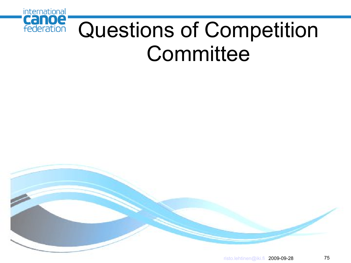

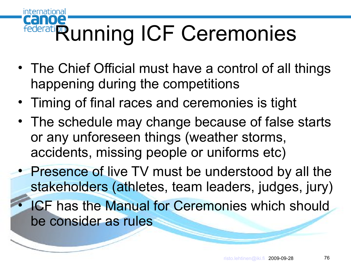#### $\blacksquare$ Federation Unning ICF Ceremonies

international

- The Chief Official must have a control of all things happening during the competitions
- Timing of final races and ceremonies is tight
- The schedule may change because of false starts or any unforeseen things (weather storms, accidents, missing people or uniforms etc)
- Presence of live TV must be understood by all the stakeholders (athletes, team leaders, judges, jury) **ICF has the Manual for Ceremonies which should** be consider as rules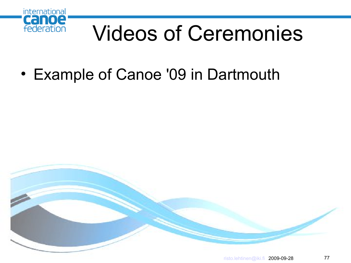

## Videos of Ceremonies

• Example of Canoe '09 in Dartmouth

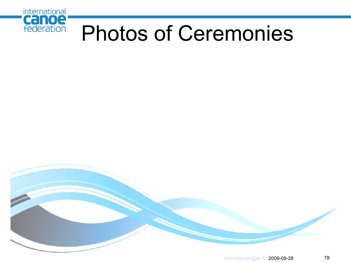

## Photos of Ceremonies

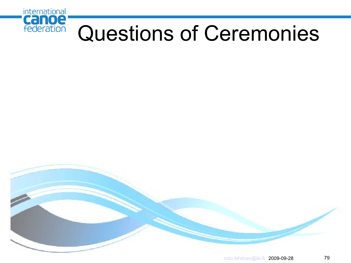

## Questions of Ceremonies

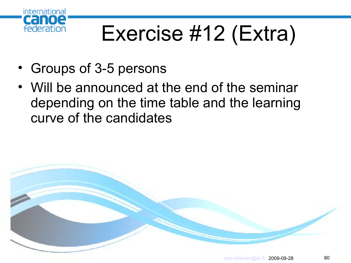

# Exercise #12 (Extra)

- Groups of 3-5 persons
- Will be announced at the end of the seminar depending on the time table and the learning curve of the candidates